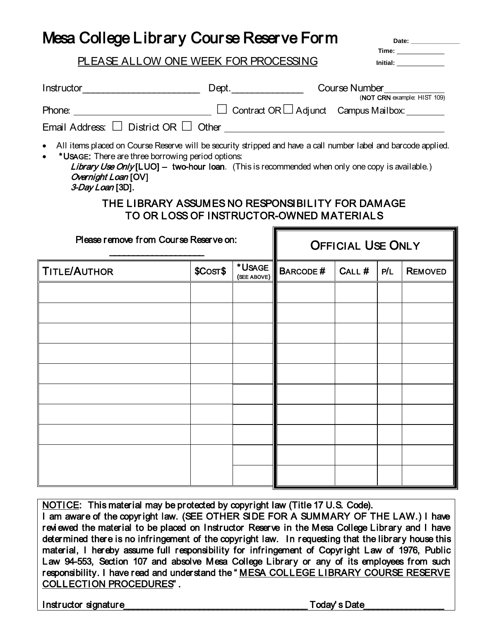## Mesa College Library Course Reserve Form **Date: \_\_\_\_\_\_\_\_\_\_\_\_\_\_**

#### PLEASE ALLOW ONE WEEK FOR PROCESSING **Initial:**

**Time:** 

| Instructor____________________________                                                                                                                                                                                                                                                                                                                                                                                  |          | Dept.                 |                          | <b>Course Number</b><br>(NOT CRN example: HIST 109) |     |                |
|-------------------------------------------------------------------------------------------------------------------------------------------------------------------------------------------------------------------------------------------------------------------------------------------------------------------------------------------------------------------------------------------------------------------------|----------|-----------------------|--------------------------|-----------------------------------------------------|-----|----------------|
| ■ Contract OR □ Adjunct Campus Mailbox: △ △ Contract OR □ Adjunct Campus Mailbox:<br>Phone:<br>Email Address: $\Box$ District OR $\Box$ Other $\Box$                                                                                                                                                                                                                                                                    |          |                       |                          |                                                     |     |                |
| All items placed on Course Reserve will be security stripped and have a call number label and barcode applied.<br>*USAGE: There are three borrowing period options:<br><b>Library Use Only [LUO] - two-hour loan.</b> (This is recommended when only one copy is available.)<br>Overnight Loan [OV]<br>3-Day Loan [3D].<br>THE LIBRARY ASSUMES NO RESPONSIBILITY FOR DAMAGE<br>TO OR LOSS OF INSTRUCTOR-OWNED MATERIALS |          |                       |                          |                                                     |     |                |
| Please remove from Course Reserve on:                                                                                                                                                                                                                                                                                                                                                                                   |          |                       | <b>OFFICIAL USE ONLY</b> |                                                     |     |                |
|                                                                                                                                                                                                                                                                                                                                                                                                                         |          |                       |                          |                                                     |     |                |
| <b>TITLE/AUTHOR</b>                                                                                                                                                                                                                                                                                                                                                                                                     | \$COST\$ | *USAGE<br>(SEE ABOVE) | <b>BARCODE#</b>          | $CALL$ #                                            | P/L | <b>REMOVED</b> |
|                                                                                                                                                                                                                                                                                                                                                                                                                         |          |                       |                          |                                                     |     |                |
|                                                                                                                                                                                                                                                                                                                                                                                                                         |          |                       |                          |                                                     |     |                |
|                                                                                                                                                                                                                                                                                                                                                                                                                         |          |                       |                          |                                                     |     |                |
|                                                                                                                                                                                                                                                                                                                                                                                                                         |          |                       |                          |                                                     |     |                |
|                                                                                                                                                                                                                                                                                                                                                                                                                         |          |                       |                          |                                                     |     |                |
|                                                                                                                                                                                                                                                                                                                                                                                                                         |          |                       |                          |                                                     |     |                |

NOTICE: This material may be protected by copyright law (Title 17 U.S. Code). I am aware of the copyr ight law. (SEE OTHER SIDE FOR A SUMMARY OF THE LAW.) I have reviewed the material to be placed on Instructor Reserve in the Mesa College Library and I have determined there is no infringement of the copyright law. In requesting that the library house this material, I hereby assume full responsibility for infringement of Copyr ight Law of 1976, Public Law 94-553, Section 107 and absolve Mesa College Library or any of its employees from such responsibility. I have read and understand the " MESA COLLEGE LIBRARY COURSE RESERVE COLLECTION PROCEDURES" .

Instructor signature example of the state of the state of the state of the state of the state of the state of the state of the state of the state of the state of the state of the state of the state of the state of the stat